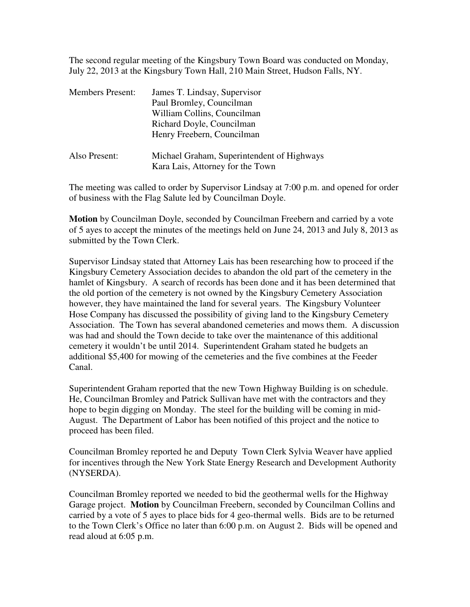The second regular meeting of the Kingsbury Town Board was conducted on Monday, July 22, 2013 at the Kingsbury Town Hall, 210 Main Street, Hudson Falls, NY.

| <b>Members Present:</b> | James T. Lindsay, Supervisor<br>Paul Bromley, Councilman<br>William Collins, Councilman<br>Richard Doyle, Councilman<br>Henry Freebern, Councilman |
|-------------------------|----------------------------------------------------------------------------------------------------------------------------------------------------|
| Also Present:           | Michael Graham, Superintendent of Highways<br>Kara Lais, Attorney for the Town                                                                     |

The meeting was called to order by Supervisor Lindsay at 7:00 p.m. and opened for order of business with the Flag Salute led by Councilman Doyle.

**Motion** by Councilman Doyle, seconded by Councilman Freebern and carried by a vote of 5 ayes to accept the minutes of the meetings held on June 24, 2013 and July 8, 2013 as submitted by the Town Clerk.

Supervisor Lindsay stated that Attorney Lais has been researching how to proceed if the Kingsbury Cemetery Association decides to abandon the old part of the cemetery in the hamlet of Kingsbury. A search of records has been done and it has been determined that the old portion of the cemetery is not owned by the Kingsbury Cemetery Association however, they have maintained the land for several years. The Kingsbury Volunteer Hose Company has discussed the possibility of giving land to the Kingsbury Cemetery Association. The Town has several abandoned cemeteries and mows them. A discussion was had and should the Town decide to take over the maintenance of this additional cemetery it wouldn't be until 2014. Superintendent Graham stated he budgets an additional \$5,400 for mowing of the cemeteries and the five combines at the Feeder Canal.

Superintendent Graham reported that the new Town Highway Building is on schedule. He, Councilman Bromley and Patrick Sullivan have met with the contractors and they hope to begin digging on Monday. The steel for the building will be coming in mid-August. The Department of Labor has been notified of this project and the notice to proceed has been filed.

Councilman Bromley reported he and Deputy Town Clerk Sylvia Weaver have applied for incentives through the New York State Energy Research and Development Authority (NYSERDA).

Councilman Bromley reported we needed to bid the geothermal wells for the Highway Garage project. **Motion** by Councilman Freebern, seconded by Councilman Collins and carried by a vote of 5 ayes to place bids for 4 geo-thermal wells. Bids are to be returned to the Town Clerk's Office no later than 6:00 p.m. on August 2. Bids will be opened and read aloud at 6:05 p.m.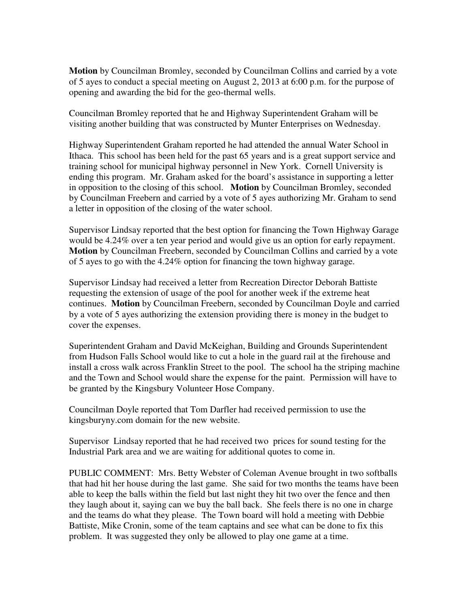**Motion** by Councilman Bromley, seconded by Councilman Collins and carried by a vote of 5 ayes to conduct a special meeting on August 2, 2013 at 6:00 p.m. for the purpose of opening and awarding the bid for the geo-thermal wells.

Councilman Bromley reported that he and Highway Superintendent Graham will be visiting another building that was constructed by Munter Enterprises on Wednesday.

Highway Superintendent Graham reported he had attended the annual Water School in Ithaca. This school has been held for the past 65 years and is a great support service and training school for municipal highway personnel in New York. Cornell University is ending this program. Mr. Graham asked for the board's assistance in supporting a letter in opposition to the closing of this school. **Motion** by Councilman Bromley, seconded by Councilman Freebern and carried by a vote of 5 ayes authorizing Mr. Graham to send a letter in opposition of the closing of the water school.

Supervisor Lindsay reported that the best option for financing the Town Highway Garage would be 4.24% over a ten year period and would give us an option for early repayment. **Motion** by Councilman Freebern, seconded by Councilman Collins and carried by a vote of 5 ayes to go with the 4.24% option for financing the town highway garage.

Supervisor Lindsay had received a letter from Recreation Director Deborah Battiste requesting the extension of usage of the pool for another week if the extreme heat continues. **Motion** by Councilman Freebern, seconded by Councilman Doyle and carried by a vote of 5 ayes authorizing the extension providing there is money in the budget to cover the expenses.

Superintendent Graham and David McKeighan, Building and Grounds Superintendent from Hudson Falls School would like to cut a hole in the guard rail at the firehouse and install a cross walk across Franklin Street to the pool. The school ha the striping machine and the Town and School would share the expense for the paint. Permission will have to be granted by the Kingsbury Volunteer Hose Company.

Councilman Doyle reported that Tom Darfler had received permission to use the kingsburyny.com domain for the new website.

Supervisor Lindsay reported that he had received two prices for sound testing for the Industrial Park area and we are waiting for additional quotes to come in.

PUBLIC COMMENT: Mrs. Betty Webster of Coleman Avenue brought in two softballs that had hit her house during the last game. She said for two months the teams have been able to keep the balls within the field but last night they hit two over the fence and then they laugh about it, saying can we buy the ball back. She feels there is no one in charge and the teams do what they please. The Town board will hold a meeting with Debbie Battiste, Mike Cronin, some of the team captains and see what can be done to fix this problem. It was suggested they only be allowed to play one game at a time.